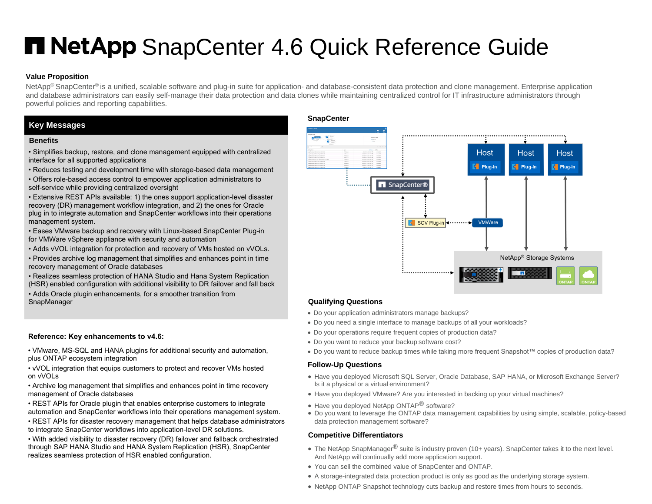# **H NetApp** SnapCenter 4.6 Quick Reference Guide

#### **Value Proposition**

NetApp<sup>®</sup> SnapCenter<sup>®</sup> is a unified, scalable software and plug-in suite for application- and database-consistent data protection and clone management. Enterprise application and database administrators can easily self-manage their data protection and data clones while maintaining centralized control for IT infrastructure administrators through powerful policies and reporting capabilities.

#### **Key Messages**

#### **Benefits**

- Simplifies backup, restore, and clone management equipped with centralized interface for all supported applications
- Reduces testing and development time with storage-based data management
- Offers role-based access control to empower application administrators to self-service while providing centralized oversight
- Extensive REST APIs available: 1) the ones support application-level disaster recovery (DR) management workflow integration, and 2) the ones for Oracle plug in to integrate automation and SnapCenter workflows into their operations management system.
- Eases VMware backup and recovery with Linux-based SnapCenter Plug-in for VMWare vSphere appliance with security and automation
- Adds vVOL integration for protection and recovery of VMs hosted on vVOLs.
- Provides archive log management that simplifies and enhances point in time recovery management of Oracle databases
- Realizes seamless protection of HANA Studio and Hana System Replication (HSR) enabled configuration with additional visibility to DR failover and fall back
- Adds Oracle plugin enhancements, for a smoother transition from

#### **Reference: Key enhancements to v4.6:**

- VMware, MS-SQL and HANA plugins for additional security and automation, plus ONTAP ecosystem integration
- vVOL integration that equips customers to protect and recover VMs hosted on vVOLs
- Archive log management that simplifies and enhances point in time recovery management of Oracle databases
- REST APIs for Oracle plugin that enables enterprise customers to integrate automation and SnapCenter workflows into their operations management system.
- REST APIs for disaster recovery management that helps database administrators to integrate SnapCenter workflows into application-level DR solutions.
- With added visibility to disaster recovery (DR) failover and fallback orchestrated through SAP HANA Studio and HANA System Replication (HSR), SnapCenter realizes seamless protection of HSR enabled configuration.

#### **SnapCenter**



#### **Qualifying Questions**

- Do your application administrators manage backups?
- Do you need a single interface to manage backups of all your workloads?
- Do your operations require frequent copies of production data?
- Do you want to reduce your backup software cost?
- Do you want to reduce backup times while taking more frequent Snapshot™ copies of production data?

#### **Follow-Up Questions**

- Have you deployed Microsoft SQL Server, Oracle Database, SAP HANA, or Microsoft Exchange Server? Is it a physical or a virtual environment?
- Have you deployed VMware? Are you interested in backing up your virtual machines?
- Have you deployed NetApp ONTAP<sup>®</sup> software?
- Do you want to leverage the ONTAP data management capabilities by using simple, scalable, policy-based data protection management software?

#### **Competitive Differentiators**

- The NetApp SnapManager $^{\circledR}$  suite is industry proven (10+ years). SnapCenter takes it to the next level. And NetApp will continually add more application support.
- You can sell the combined value of SnapCenter and ONTAP.
- A storage-integrated data protection product is only as good as the underlying storage system.
- NetApp ONTAP Snapshot technology cuts backup and restore times from hours to seconds.